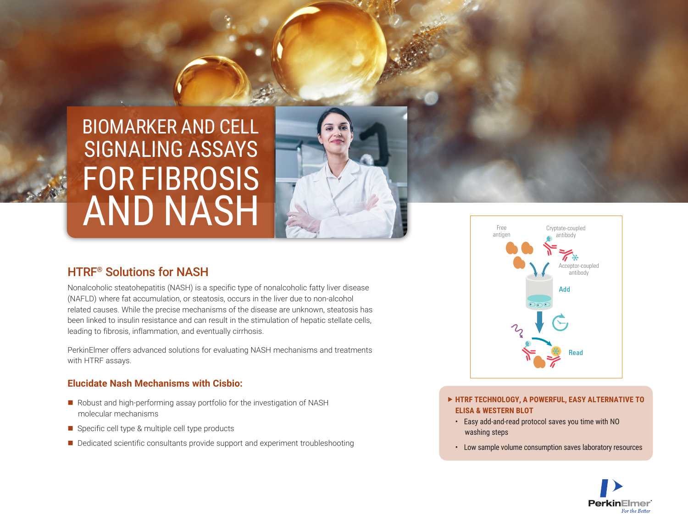# BIOMARKER AND CELL FOR FIBROSIS AND NASH SIGNALING ASSAYS

# HTRF® Solutions for NASH

Nonalcoholic steatohepatitis (NASH) is a specific type of nonalcoholic fatty liver disease (NAFLD) where fat accumulation, or steatosis, occurs in the liver due to non-alcohol related causes. While the precise mechanisms of the disease are unknown, steatosis has been linked to insulin resistance and can result in the stimulation of hepatic stellate cells, leading to fibrosis, inflammation, and eventually cirrhosis.

PerkinElmer offers advanced solutions for evaluating NASH mechanisms and treatments with HTRF assays.

#### **Elucidate Nash Mechanisms with Cisbio:**

- $\blacksquare$  Robust and high-performing assay portfolio for the investigation of NASH molecular mechanisms
- $\blacksquare$  Specific cell type & multiple cell type products
- Dedicated scientific consultants provide support and experiment troubleshooting



- **HTRF TECHNOLOGY, A POWERFUL, EASY ALTERNATIVE TO ELISA & WESTERN BLOT**
	- Easy add-and-read protocol saves you time with NO washing steps
	- Low sample volume consumption saves laboratory resources